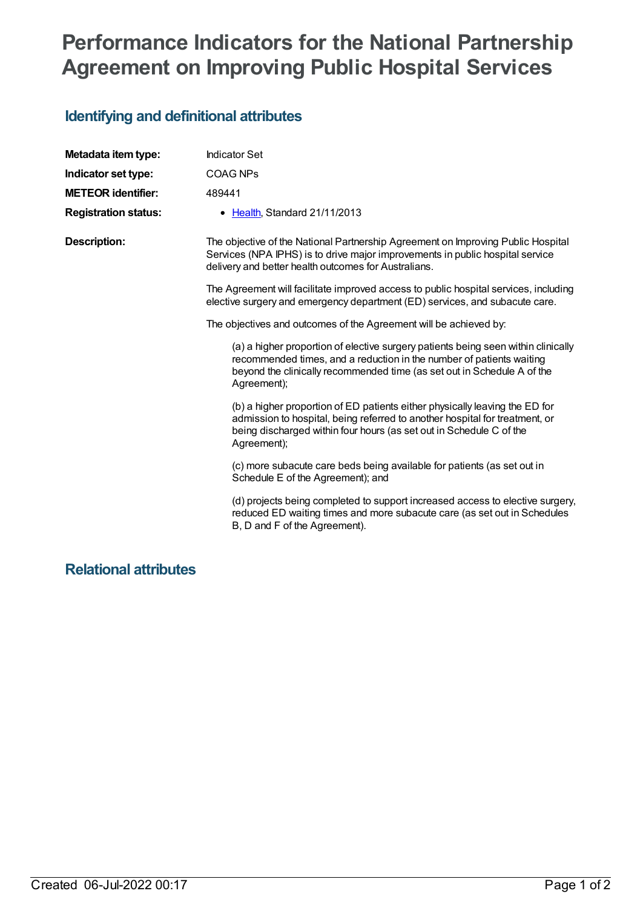# **Performance Indicators for the National Partnership Agreement on Improving Public Hospital Services**

## **Identifying and definitional attributes**

| Metadata item type:         | <b>Indicator Set</b>                                                                                                                                                                                                                                |
|-----------------------------|-----------------------------------------------------------------------------------------------------------------------------------------------------------------------------------------------------------------------------------------------------|
| Indicator set type:         | <b>COAG NPs</b>                                                                                                                                                                                                                                     |
| <b>METEOR identifier:</b>   | 489441                                                                                                                                                                                                                                              |
| <b>Registration status:</b> | • Health, Standard 21/11/2013                                                                                                                                                                                                                       |
| <b>Description:</b>         | The objective of the National Partnership Agreement on Improving Public Hospital<br>Services (NPA IPHS) is to drive major improvements in public hospital service<br>delivery and better health outcomes for Australians.                           |
|                             | The Agreement will facilitate improved access to public hospital services, including<br>elective surgery and emergency department (ED) services, and subacute care.                                                                                 |
|                             | The objectives and outcomes of the Agreement will be achieved by:                                                                                                                                                                                   |
|                             | (a) a higher proportion of elective surgery patients being seen within clinically<br>recommended times, and a reduction in the number of patients waiting<br>beyond the clinically recommended time (as set out in Schedule A of the<br>Agreement); |
|                             | (b) a higher proportion of ED patients either physically leaving the ED for<br>admission to hospital, being referred to another hospital for treatment, or<br>being discharged within four hours (as set out in Schedule C of the<br>Agreement);    |
|                             | (c) more subacute care beds being available for patients (as set out in<br>Schedule E of the Agreement); and                                                                                                                                        |
|                             | (d) projects being completed to support increased access to elective surgery,<br>reduced ED waiting times and more subacute care (as set out in Schedules<br>B, D and F of the Agreement).                                                          |
|                             |                                                                                                                                                                                                                                                     |

## **Relational attributes**